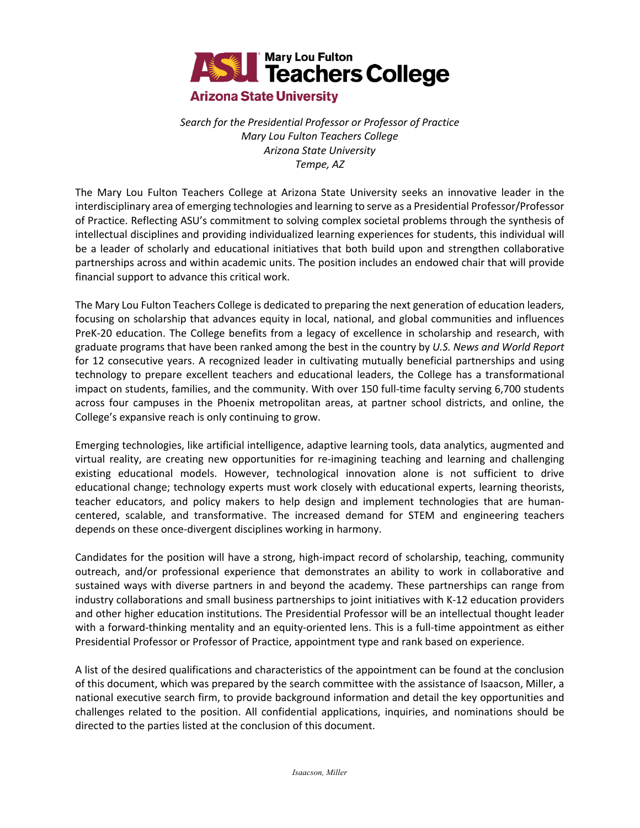

# *Search for the Presidential Professor or Professor of Practice Mary Lou Fulton Teachers College Arizona State University*

*Tempe, AZ* 

The Mary Lou Fulton Teachers College at Arizona State University seeks an innovative leader in the interdisciplinary area of emerging technologies and learning to serve as a Presidential Professor/Professor of Practice. Reflecting ASU's commitment to solving complex societal problems through the synthesis of intellectual disciplines and providing individualized learning experiences for students, this individual will be a leader of scholarly and educational initiatives that both build upon and strengthen collaborative partnerships across and within academic units. The position includes an endowed chair that will provide financial support to advance this critical work.

The Mary Lou Fulton Teachers College is dedicated to preparing the next generation of education leaders, focusing on scholarship that advances equity in local, national, and global communities and influences PreK-20 education. The College benefits from a legacy of excellence in scholarship and research, with graduate programs that have been ranked among the best in the country by *U.S. News and World Report* for 12 consecutive years. A recognized leader in cultivating mutually beneficial partnerships and using technology to prepare excellent teachers and educational leaders, the College has a transformational impact on students, families, and the community. With over 150 full-time faculty serving 6,700 students across four campuses in the Phoenix metropolitan areas, at partner school districts, and online, the College's expansive reach is only continuing to grow.

Emerging technologies, like artificial intelligence, adaptive learning tools, data analytics, augmented and virtual reality, are creating new opportunities for re-imagining teaching and learning and challenging existing educational models. However, technological innovation alone is not sufficient to drive educational change; technology experts must work closely with educational experts, learning theorists, teacher educators, and policy makers to help design and implement technologies that are humancentered, scalable, and transformative. The increased demand for STEM and engineering teachers depends on these once-divergent disciplines working in harmony.

Candidates for the position will have a strong, high-impact record of scholarship, teaching, community outreach, and/or professional experience that demonstrates an ability to work in collaborative and sustained ways with diverse partners in and beyond the academy. These partnerships can range from industry collaborations and small business partnerships to joint initiatives with K-12 education providers and other higher education institutions. The Presidential Professor will be an intellectual thought leader with a forward-thinking mentality and an equity-oriented lens. This is a full-time appointment as either Presidential Professor or Professor of Practice, appointment type and rank based on experience.

A list of the desired qualifications and characteristics of the appointment can be found at the conclusion of this document, which was prepared by the search committee with the assistance of Isaacson, Miller, a national executive search firm, to provide background information and detail the key opportunities and challenges related to the position. All confidential applications, inquiries, and nominations should be directed to the parties listed at the conclusion of this document.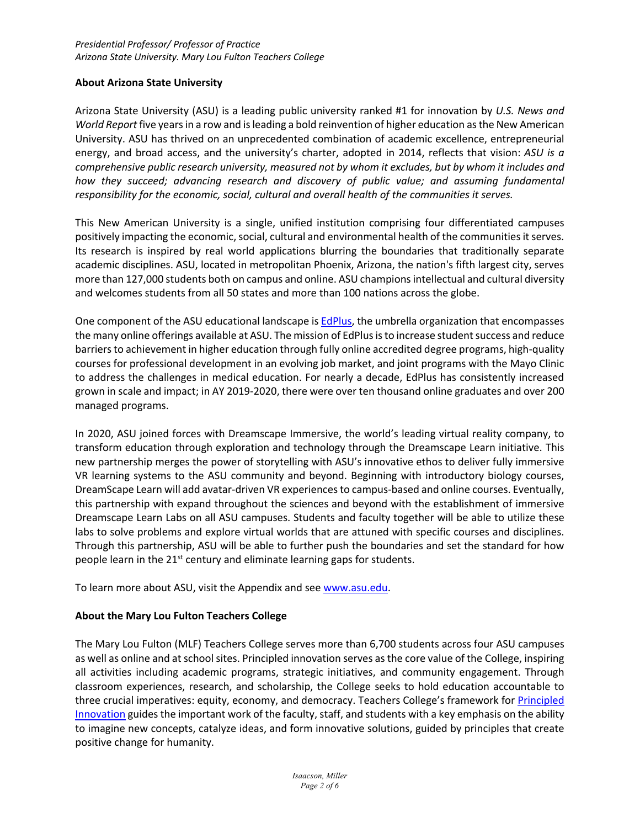#### **About Arizona State University**

Arizona State University (ASU) is a leading public university ranked #1 for innovation by *U.S. News and World Report* five years in a row and is leading a bold reinvention of higher education as the New American University. ASU has thrived on an unprecedented combination of academic excellence, entrepreneurial energy, and broad access, and the university's charter, adopted in 2014, reflects that vision: *ASU is a comprehensive public research university, measured not by whom it excludes, but by whom it includes and*  how they succeed; advancing research and discovery of public value; and assuming fundamental *responsibility for the economic, social, cultural and overall health of the communities it serves.*

This New American University is a single, unified institution comprising four differentiated campuses positively impacting the economic, social, cultural and environmental health of the communities it serves. Its research is inspired by real world applications blurring the boundaries that traditionally separate academic disciplines. ASU, located in metropolitan Phoenix, Arizona, the nation's fifth largest city, serves more than 127,000 students both on campus and online. ASU champions intellectual and cultural diversity and welcomes students from all 50 states and more than 100 nations across the globe.

One component of the ASU educational landscape is EdPlus, the umbrella organization that encompasses the many online offerings available at ASU. The mission of EdPlusis to increase student success and reduce barriers to achievement in higher education through fully online accredited degree programs, high-quality courses for professional development in an evolving job market, and joint programs with the Mayo Clinic to address the challenges in medical education. For nearly a decade, EdPlus has consistently increased grown in scale and impact; in AY 2019-2020, there were over ten thousand online graduates and over 200 managed programs.

In 2020, ASU joined forces with Dreamscape Immersive, the world's leading virtual reality company, to transform education through exploration and technology through the Dreamscape Learn initiative. This new partnership merges the power of storytelling with ASU's innovative ethos to deliver fully immersive VR learning systems to the ASU community and beyond. Beginning with introductory biology courses, DreamScape Learn will add avatar-driven VR experiences to campus-based and online courses. Eventually, this partnership with expand throughout the sciences and beyond with the establishment of immersive Dreamscape Learn Labs on all ASU campuses. Students and faculty together will be able to utilize these labs to solve problems and explore virtual worlds that are attuned with specific courses and disciplines. Through this partnership, ASU will be able to further push the boundaries and set the standard for how people learn in the 21<sup>st</sup> century and eliminate learning gaps for students.

To learn more about ASU, visit the Appendix and see www.asu.edu.

### **About the Mary Lou Fulton Teachers College**

The Mary Lou Fulton (MLF) Teachers College serves more than 6,700 students across four ASU campuses as well as online and at school sites. Principled innovation serves as the core value of the College, inspiring all activities including academic programs, strategic initiatives, and community engagement. Through classroom experiences, research, and scholarship, the College seeks to hold education accountable to three crucial imperatives: equity, economy, and democracy. Teachers College's framework for Principled Innovation guides the important work of the faculty, staff, and students with a key emphasis on the ability to imagine new concepts, catalyze ideas, and form innovative solutions, guided by principles that create positive change for humanity.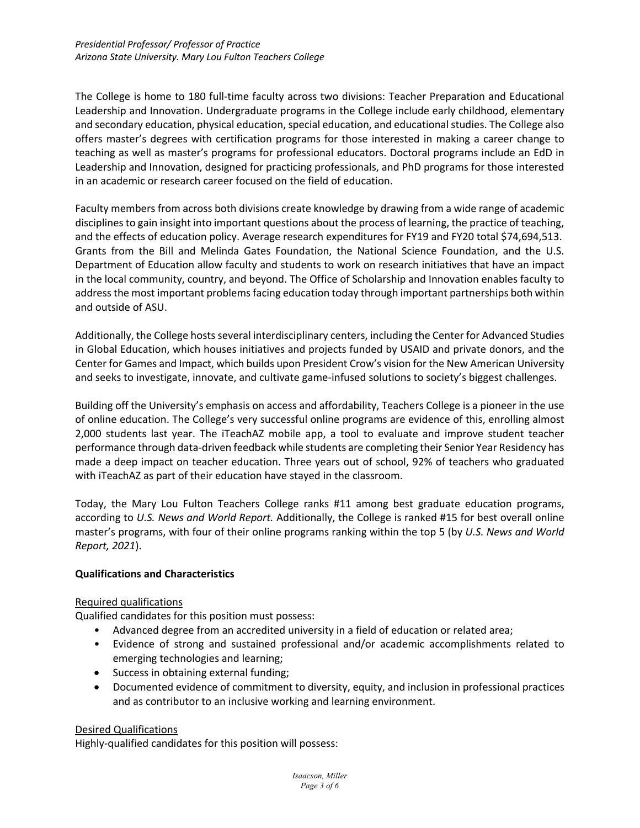The College is home to 180 full-time faculty across two divisions: Teacher Preparation and Educational Leadership and Innovation. Undergraduate programs in the College include early childhood, elementary and secondary education, physical education, special education, and educational studies. The College also offers master's degrees with certification programs for those interested in making a career change to teaching as well as master's programs for professional educators. Doctoral programs include an EdD in Leadership and Innovation, designed for practicing professionals, and PhD programs for those interested in an academic or research career focused on the field of education.

Faculty members from across both divisions create knowledge by drawing from a wide range of academic disciplines to gain insight into important questions about the process of learning, the practice of teaching, and the effects of education policy. Average research expenditures for FY19 and FY20 total \$74,694,513. Grants from the Bill and Melinda Gates Foundation, the National Science Foundation, and the U.S. Department of Education allow faculty and students to work on research initiatives that have an impact in the local community, country, and beyond. The Office of Scholarship and Innovation enables faculty to address the most important problems facing education today through important partnerships both within and outside of ASU.

Additionally, the College hosts several interdisciplinary centers, including the Center for Advanced Studies in Global Education, which houses initiatives and projects funded by USAID and private donors, and the Center for Games and Impact, which builds upon President Crow's vision for the New American University and seeks to investigate, innovate, and cultivate game-infused solutions to society's biggest challenges.

Building off the University's emphasis on access and affordability, Teachers College is a pioneer in the use of online education. The College's very successful online programs are evidence of this, enrolling almost 2,000 students last year. The iTeachAZ mobile app, a tool to evaluate and improve student teacher performance through data-driven feedback while students are completing their Senior Year Residency has made a deep impact on teacher education. Three years out of school, 92% of teachers who graduated with iTeachAZ as part of their education have stayed in the classroom.

Today, the Mary Lou Fulton Teachers College ranks #11 among best graduate education programs, according to *U.S. News and World Report.* Additionally, the College is ranked #15 for best overall online master's programs, with four of their online programs ranking within the top 5 (by *U.S. News and World Report, 2021*).

### **Qualifications and Characteristics**

### Required qualifications

Qualified candidates for this position must possess:

- Advanced degree from an accredited university in a field of education or related area;
- Evidence of strong and sustained professional and/or academic accomplishments related to emerging technologies and learning;
- Success in obtaining external funding;
- Documented evidence of commitment to diversity, equity, and inclusion in professional practices and as contributor to an inclusive working and learning environment.

#### Desired Qualifications

Highly-qualified candidates for this position will possess: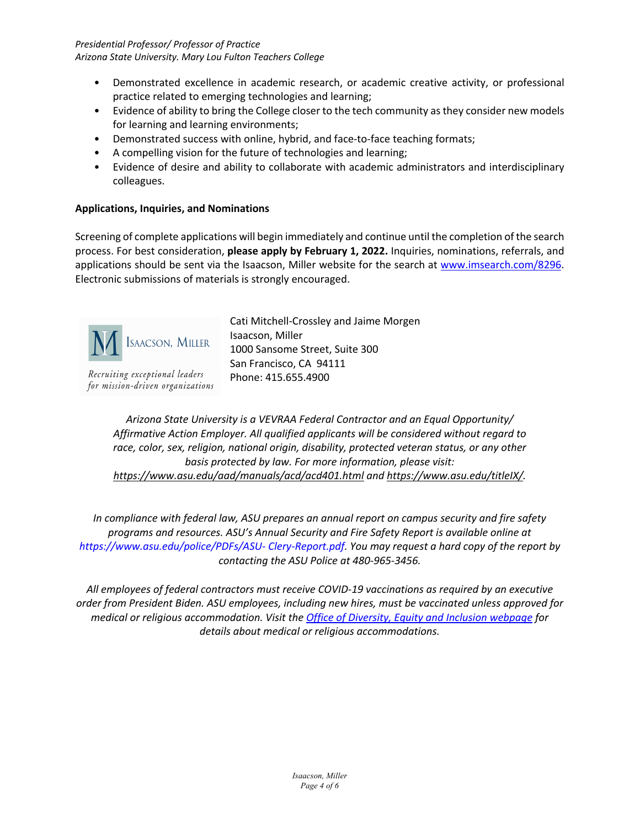*Presidential Professor/ Professor of Practice Arizona State University. Mary Lou Fulton Teachers College* 

- Demonstrated excellence in academic research, or academic creative activity, or professional practice related to emerging technologies and learning;
- Evidence of ability to bring the College closer to the tech community as they consider new models for learning and learning environments;
- Demonstrated success with online, hybrid, and face-to-face teaching formats;
- A compelling vision for the future of technologies and learning;
- Evidence of desire and ability to collaborate with academic administrators and interdisciplinary colleagues.

## **Applications, Inquiries, and Nominations**

Screening of complete applications will begin immediately and continue until the completion of the search process. For best consideration, **please apply by February 1, 2022.** Inquiries, nominations, referrals, and applications should be sent via the Isaacson, Miller website for the search at www.imsearch.com/8296. Electronic submissions of materials is strongly encouraged.



Recruiting exceptional leaders for mission-driven organizations Cati Mitchell-Crossley and Jaime Morgen Isaacson, Miller 1000 Sansome Street, Suite 300 San Francisco, CA 94111 Phone: 415.655.4900

*Arizona State University is a VEVRAA Federal Contractor and an Equal Opportunity/ Affirmative Action Employer. All qualified applicants will be considered without regard to race, color, sex, religion, national origin, disability, protected veteran status, or any other basis protected by law. For more information, please visit: https://www.asu.edu/aad/manuals/acd/acd401.html and https://www.asu.edu/titleIX/.* 

*In compliance with federal law, ASU prepares an annual report on campus security and fire safety programs and resources. ASU's Annual Security and Fire Safety Report is available online at https://www.asu.edu/police/PDFs/ASU- Clery-Report.pdf. You may request a hard copy of the report by contacting the ASU Police at 480-965-3456.*

*All employees of federal contractors must receive COVID-19 vaccinations as required by an executive order from President Biden. ASU employees, including new hires, must be vaccinated unless approved for medical or religious accommodation. Visit the Office of Diversity, Equity and Inclusion webpage for details about medical or religious accommodations.*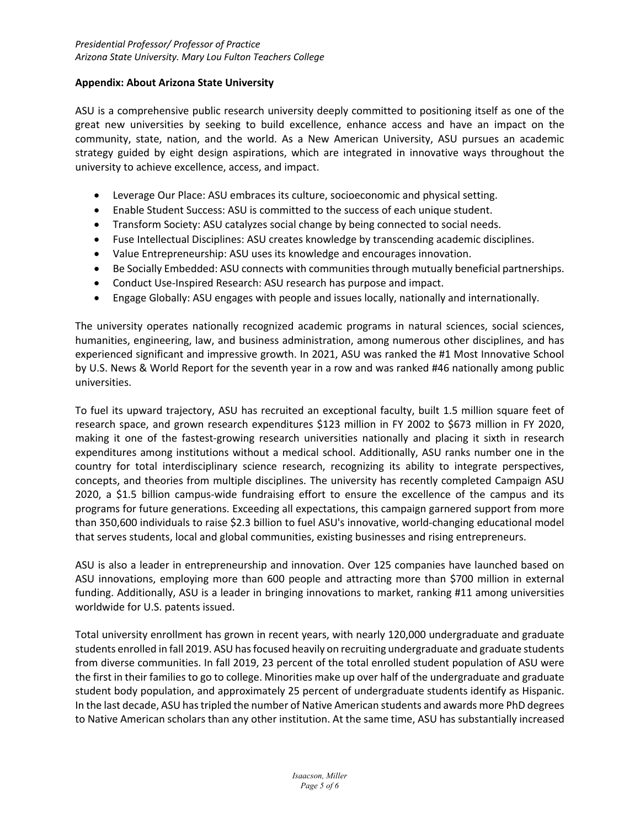#### **Appendix: About Arizona State University**

ASU is a comprehensive public research university deeply committed to positioning itself as one of the great new universities by seeking to build excellence, enhance access and have an impact on the community, state, nation, and the world. As a New American University, ASU pursues an academic strategy guided by eight design aspirations, which are integrated in innovative ways throughout the university to achieve excellence, access, and impact.

- Leverage Our Place: ASU embraces its culture, socioeconomic and physical setting.
- Enable Student Success: ASU is committed to the success of each unique student.
- Transform Society: ASU catalyzes social change by being connected to social needs.
- Fuse Intellectual Disciplines: ASU creates knowledge by transcending academic disciplines.
- Value Entrepreneurship: ASU uses its knowledge and encourages innovation.
- Be Socially Embedded: ASU connects with communities through mutually beneficial partnerships.
- Conduct Use-Inspired Research: ASU research has purpose and impact.
- Engage Globally: ASU engages with people and issues locally, nationally and internationally.

The university operates nationally recognized academic programs in natural sciences, social sciences, humanities, engineering, law, and business administration, among numerous other disciplines, and has experienced significant and impressive growth. In 2021, ASU was ranked the #1 Most Innovative School by U.S. News & World Report for the seventh year in a row and was ranked #46 nationally among public universities.

To fuel its upward trajectory, ASU has recruited an exceptional faculty, built 1.5 million square feet of research space, and grown research expenditures \$123 million in FY 2002 to \$673 million in FY 2020, making it one of the fastest-growing research universities nationally and placing it sixth in research expenditures among institutions without a medical school. Additionally, ASU ranks number one in the country for total interdisciplinary science research, recognizing its ability to integrate perspectives, concepts, and theories from multiple disciplines. The university has recently completed Campaign ASU 2020, a \$1.5 billion campus-wide fundraising effort to ensure the excellence of the campus and its programs for future generations. Exceeding all expectations, this campaign garnered support from more than 350,600 individuals to raise \$2.3 billion to fuel ASU's innovative, world-changing educational model that serves students, local and global communities, existing businesses and rising entrepreneurs.

ASU is also a leader in entrepreneurship and innovation. Over 125 companies have launched based on ASU innovations, employing more than 600 people and attracting more than \$700 million in external funding. Additionally, ASU is a leader in bringing innovations to market, ranking #11 among universities worldwide for U.S. patents issued.

Total university enrollment has grown in recent years, with nearly 120,000 undergraduate and graduate students enrolled in fall 2019. ASU has focused heavily on recruiting undergraduate and graduate students from diverse communities. In fall 2019, 23 percent of the total enrolled student population of ASU were the first in their families to go to college. Minorities make up over half of the undergraduate and graduate student body population, and approximately 25 percent of undergraduate students identify as Hispanic. In the last decade, ASU has tripled the number of Native American students and awards more PhD degrees to Native American scholars than any other institution. At the same time, ASU has substantially increased